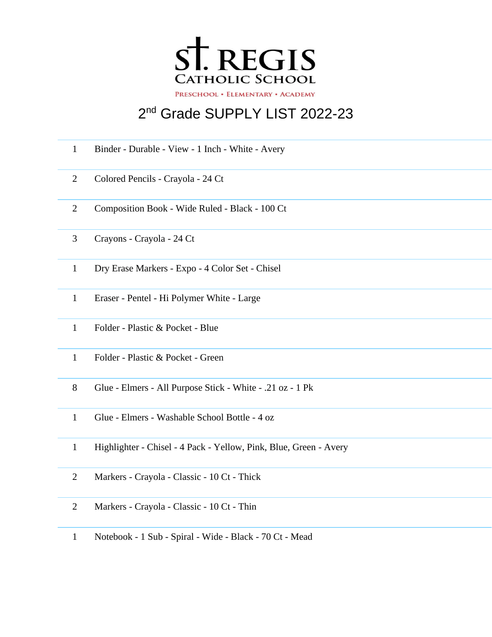

## 2<sup>nd</sup> Grade SUPPLY LIST 2022-23

| $\mathbf{1}$   | Binder - Durable - View - 1 Inch - White - Avery                  |
|----------------|-------------------------------------------------------------------|
| $\overline{2}$ | Colored Pencils - Crayola - 24 Ct                                 |
| $\overline{2}$ | Composition Book - Wide Ruled - Black - 100 Ct                    |
| 3              | Crayons - Crayola - 24 Ct                                         |
| $\mathbf{1}$   | Dry Erase Markers - Expo - 4 Color Set - Chisel                   |
| $\mathbf{1}$   | Eraser - Pentel - Hi Polymer White - Large                        |
| $\mathbf{1}$   | Folder - Plastic & Pocket - Blue                                  |
| $\mathbf{1}$   | Folder - Plastic & Pocket - Green                                 |
| 8              | Glue - Elmers - All Purpose Stick - White - .21 oz - 1 Pk         |
| $\mathbf{1}$   | Glue - Elmers - Washable School Bottle - 4 oz                     |
| $\mathbf{1}$   | Highlighter - Chisel - 4 Pack - Yellow, Pink, Blue, Green - Avery |
| $\overline{2}$ | Markers - Crayola - Classic - 10 Ct - Thick                       |
| 2              | Markers - Crayola - Classic - 10 Ct - Thin                        |

Notebook - 1 Sub - Spiral - Wide - Black - 70 Ct - Mead